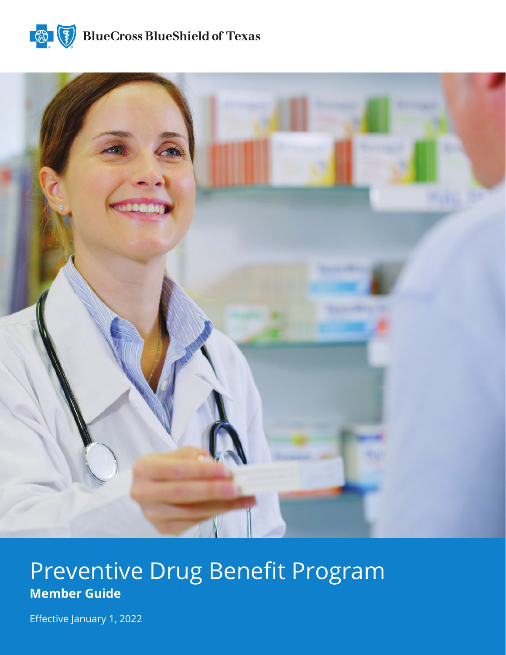



# Preventive Drug Benefit Program **Member Guide**

Effective January 1, 2022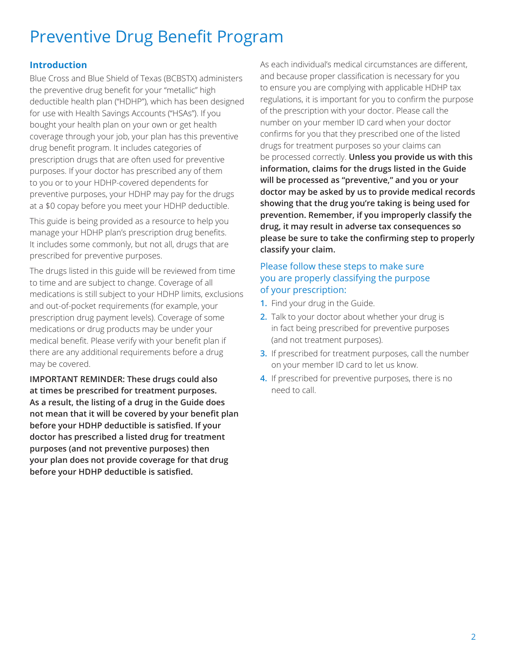# Preventive Drug Benefit Program

#### **Introduction**

Blue Cross and Blue Shield of Texas (BCBSTX) administers the preventive drug benefit for your "metallic" high deductible health plan ("HDHP"), which has been designed for use with Health Savings Accounts ("HSAs"). If you bought your health plan on your own or get health coverage through your job, your plan has this preventive drug benefit program. It includes categories of prescription drugs that are often used for preventive purposes. If your doctor has prescribed any of them to you or to your HDHP-covered dependents for preventive purposes, your HDHP may pay for the drugs at a \$0 copay before you meet your HDHP deductible.

This guide is being provided as a resource to help you manage your HDHP plan's prescription drug benefits. It includes some commonly, but not all, drugs that are prescribed for preventive purposes.

The drugs listed in this guide will be reviewed from time to time and are subject to change. Coverage of all medications is still subject to your HDHP limits, exclusions and out-of-pocket requirements (for example, your prescription drug payment levels). Coverage of some medications or drug products may be under your medical benefit. Please verify with your benefit plan if there are any additional requirements before a drug may be covered.

**IMPORTANT REMINDER: These drugs could also at times be prescribed for treatment purposes. As a result, the listing of a drug in the Guide does not mean that it will be covered by your benefit plan before your HDHP deductible is satisfied. If your doctor has prescribed a listed drug for treatment purposes (and not preventive purposes) then your plan does not provide coverage for that drug before your HDHP deductible is satisfied.**

As each individual's medical circumstances are different, and because proper classification is necessary for you to ensure you are complying with applicable HDHP tax regulations, it is important for you to confirm the purpose of the prescription with your doctor. Please call the number on your member ID card when your doctor confirms for you that they prescribed one of the listed drugs for treatment purposes so your claims can be processed correctly. **Unless you provide us with this information, claims for the drugs listed in the Guide will be processed as "preventive," and you or your doctor may be asked by us to provide medical records showing that the drug you're taking is being used for prevention. Remember, if you improperly classify the drug, it may result in adverse tax consequences so please be sure to take the confirming step to properly classify your claim.**

#### Please follow these steps to make sure you are properly classifying the purpose of your prescription:

- **1.** Find your drug in the Guide.
- **2.** Talk to your doctor about whether your drug is in fact being prescribed for preventive purposes (and not treatment purposes).
- **3.** If prescribed for treatment purposes, call the number on your member ID card to let us know.
- **4.** If prescribed for preventive purposes, there is no need to call.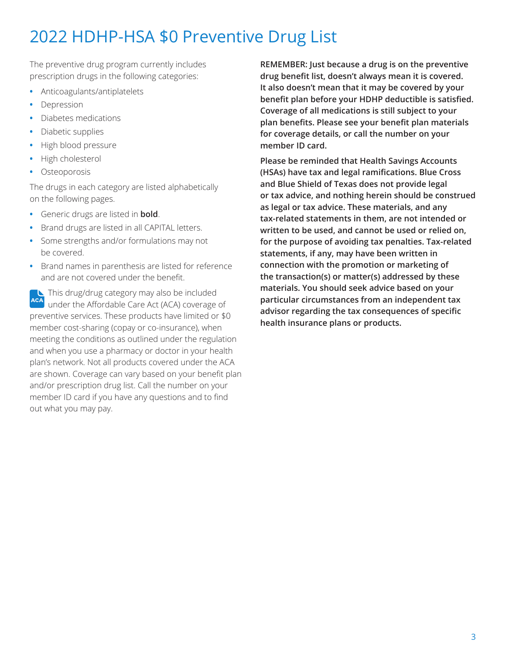The preventive drug program currently includes prescription drugs in the following categories:

- **•** Anticoagulants/antiplatelets
- **•** Depression
- **•** Diabetes medications
- **•** Diabetic supplies
- **•** High blood pressure
- **•** High cholesterol
- **•** Osteoporosis

The drugs in each category are listed alphabetically on the following pages.

- **•** Generic drugs are listed in **bold**.
- **•** Brand drugs are listed in all CAPITAL letters.
- **•** Some strengths and/or formulations may not be covered.
- **•** Brand names in parenthesis are listed for reference and are not covered under the benefit.

This drug/drug category may also be included under the Affordable Care Act (ACA) coverage of preventive services. These products have limited or \$0 member cost-sharing (copay or co-insurance), when meeting the conditions as outlined under the regulation and when you use a pharmacy or doctor in your health plan's network. Not all products covered under the ACA are shown. Coverage can vary based on your benefit plan and/or prescription drug list. Call the number on your member ID card if you have any questions and to find out what you may pay.

**REMEMBER: Just because a drug is on the preventive drug benefit list, doesn't always mean it is covered. It also doesn't mean that it may be covered by your benefit plan before your HDHP deductible is satisfied. Coverage of all medications is still subject to your plan benefits. Please see your benefit plan materials for coverage details, or call the number on your member ID card.** 

**Please be reminded that Health Savings Accounts (HSAs) have tax and legal ramifications. Blue Cross and Blue Shield of Texas does not provide legal or tax advice, and nothing herein should be construed as legal or tax advice. These materials, and any tax-related statements in them, are not intended or written to be used, and cannot be used or relied on, for the purpose of avoiding tax penalties. Tax-related statements, if any, may have been written in connection with the promotion or marketing of the transaction(s) or matter(s) addressed by these materials. You should seek advice based on your particular circumstances from an independent tax advisor regarding the tax consequences of specific health insurance plans or products.**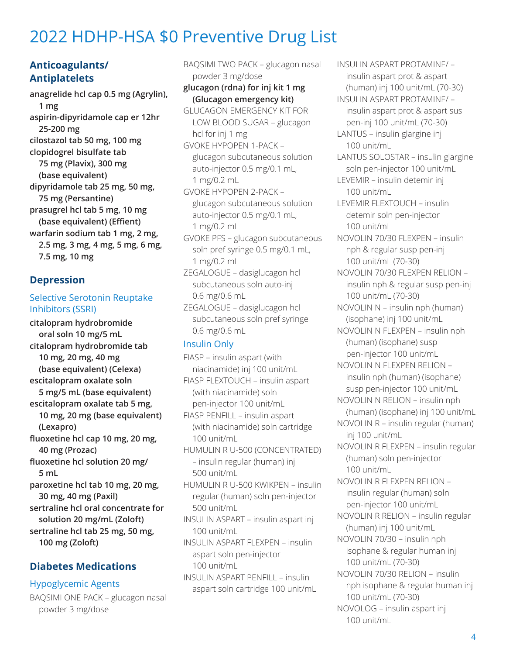### **Anticoagulants/ Antiplatelets**

**anagrelide hcl cap 0.5 mg (Agrylin), 1 mg aspirin-dipyridamole cap er 12hr 25-200 mg cilostazol tab 50 mg, 100 mg clopidogrel bisulfate tab 75 mg (Plavix), 300 mg (base equivalent) dipyridamole tab 25 mg, 50 mg, 75 mg (Persantine) prasugrel hcl tab 5 mg, 10 mg (base equivalent) (Effient) warfarin sodium tab 1 mg, 2 mg, 2.5 mg, 3 mg, 4 mg, 5 mg, 6 mg, 7.5 mg, 10 mg** 

### **Depression**

#### Selective Serotonin Reuptake Inhibitors (SSRI)

**citalopram hydrobromide oral soln 10 mg/5 mL citalopram hydrobromide tab 10 mg, 20 mg, 40 mg (base equivalent) (Celexa) escitalopram oxalate soln 5 mg/5 mL (base equivalent) escitalopram oxalate tab 5 mg, 10 mg, 20 mg (base equivalent) (Lexapro) fluoxetine hcl cap 10 mg, 20 mg, 40 mg (Prozac) fluoxetine hcl solution 20 mg/ 5 mL paroxetine hcl tab 10 mg, 20 mg, 30 mg, 40 mg (Paxil)**

**sertraline hcl oral concentrate for solution 20 mg/mL (Zoloft)**

**sertraline hcl tab 25 mg, 50 mg, 100 mg (Zoloft)**

## **Diabetes Medications**

#### Hypoglycemic Agents

BAQSIMI ONE PACK – glucagon nasal powder 3 mg/dose

BAQSIMI TWO PACK – glucagon nasal powder 3 mg/dose **glucagon (rdna) for inj kit 1 mg (Glucagon emergency kit)** GLUCAGON EMERGENCY KIT FOR LOW BLOOD SUGAR – glucagon hcl for inj 1 mg GVOKE HYPOPEN 1-PACK – glucagon subcutaneous solution auto-injector 0.5 mg/0.1 mL, 1 mg/0.2 mL

GVOKE HYPOPEN 2-PACK – glucagon subcutaneous solution auto-injector 0.5 mg/0.1 mL, 1 mg/0.2 mL

GVOKE PFS – glucagon subcutaneous soln pref syringe 0.5 mg/0.1 mL, 1 mg/0.2 mL

ZEGALOGUE – dasiglucagon hcl subcutaneous soln auto-inj 0.6 mg/0.6 mL

ZEGALOGUE – dasiglucagon hcl subcutaneous soln pref syringe 0.6 mg/0.6 mL

#### Insulin Only

- FIASP insulin aspart (with niacinamide) inj 100 unit/mL
- FIASP FLEXTOUCH insulin aspart (with niacinamide) soln pen-injector 100 unit/mL

FIASP PENFILL – insulin aspart (with niacinamide) soln cartridge 100 unit/mL

HUMULIN R U-500 (CONCENTRATED) – insulin regular (human) inj 500 unit/mL

HUMULIN R U-500 KWIKPEN – insulin regular (human) soln pen-injector 500 unit/mL

INSULIN ASPART – insulin aspart inj 100 unit/mL

INSULIN ASPART FLEXPEN – insulin aspart soln pen-injector 100 unit/mL

INSULIN ASPART PENFILL – insulin aspart soln cartridge 100 unit/mL INSULIN ASPART PROTAMINE/ – insulin aspart prot & aspart (human) inj 100 unit/mL (70-30)

INSULIN ASPART PROTAMINE/ – insulin aspart prot & aspart sus pen-inj 100 unit/mL (70-30)

LANTUS – insulin glargine inj 100 unit/mL

LANTUS SOLOSTAR – insulin glargine soln pen-injector 100 unit/mL

LEVEMIR – insulin detemir inj 100 unit/mL

LEVEMIR FLEXTOUCH – insulin detemir soln pen-injector 100 unit/mL

- NOVOLIN 70/30 FLEXPEN insulin nph & regular susp pen-inj 100 unit/mL (70-30)
- NOVOLIN 70/30 FLEXPEN RELION insulin nph & regular susp pen-inj 100 unit/mL (70-30)
- NOVOLIN N insulin nph (human) (isophane) inj 100 unit/mL

NOVOLIN N FLEXPEN – insulin nph (human) (isophane) susp pen-injector 100 unit/mL

NOVOLIN N FLEXPEN RELION – insulin nph (human) (isophane) susp pen-injector 100 unit/mL

NOVOLIN N RELION – insulin nph (human) (isophane) inj 100 unit/mL

NOVOLIN R – insulin regular (human) inj 100 unit/mL

NOVOLIN R FLEXPEN – insulin regular (human) soln pen-injector 100 unit/mL

NOVOLIN R FLEXPEN RELION – insulin regular (human) soln pen-injector 100 unit/mL

NOVOLIN R RELION – insulin regular (human) inj 100 unit/mL

NOVOLIN 70/30 – insulin nph isophane & regular human inj 100 unit/mL (70-30)

NOVOLIN 70/30 RELION – insulin nph isophane & regular human inj 100 unit/mL (70-30) NOVOLOG – insulin aspart inj 100 unit/mL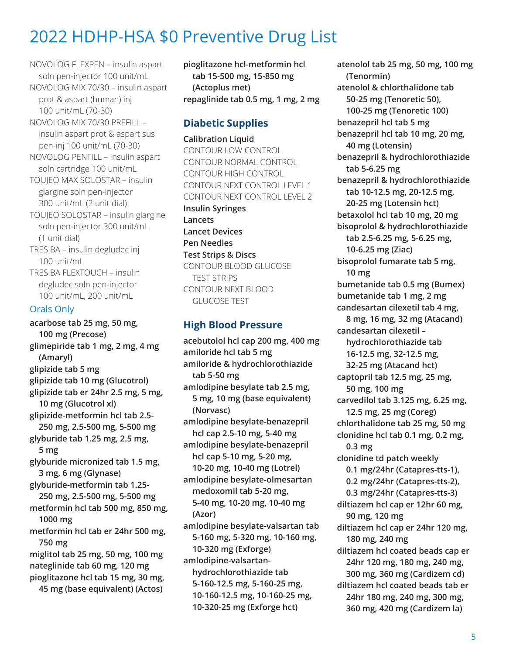NOVOLOG FLEXPEN – insulin aspart soln pen-injector 100 unit/mL NOVOLOG MIX 70/30 – insulin aspart prot & aspart (human) inj 100 unit/mL (70-30) NOVOLOG MIX 70/30 PREFILL – insulin aspart prot & aspart sus pen-inj 100 unit/mL (70-30) NOVOLOG PENFILL – insulin aspart soln cartridge 100 unit/mL TOUJEO MAX SOLOSTAR – insulin glargine soln pen-injector 300 unit/mL (2 unit dial) TOUJEO SOLOSTAR – insulin glargine soln pen-injector 300 unit/mL (1 unit dial) TRESIBA – insulin degludec inj 100 unit/mL TRESIBA FLEXTOUCH – insulin degludec soln pen-injector

100 unit/mL, 200 unit/mL

#### Orals Only

**acarbose tab 25 mg, 50 mg, 100 mg (Precose) glimepiride tab 1 mg, 2 mg, 4 mg (Amaryl) glipizide tab 5 mg glipizide tab 10 mg (Glucotrol) glipizide tab er 24hr 2.5 mg, 5 mg, 10 mg (Glucotrol xl) glipizide-metformin hcl tab 2.5- 250 mg, 2.5-500 mg, 5-500 mg glyburide tab 1.25 mg, 2.5 mg, 5 mg glyburide micronized tab 1.5 mg, 3 mg, 6 mg (Glynase) glyburide-metformin tab 1.25- 250 mg, 2.5-500 mg, 5-500 mg metformin hcl tab 500 mg, 850 mg, 1000 mg metformin hcl tab er 24hr 500 mg, 750 mg miglitol tab 25 mg, 50 mg, 100 mg nateglinide tab 60 mg, 120 mg pioglitazone hcl tab 15 mg, 30 mg, 45 mg (base equivalent) (Actos)**

**pioglitazone hcl-metformin hcl tab 15-500 mg, 15-850 mg (Actoplus met) repaglinide tab 0.5 mg, 1 mg, 2 mg**

### **Diabetic Supplies**

**Calibration Liquid** CONTOUR LOW CONTROL CONTOUR NORMAL CONTROL CONTOUR HIGH CONTROL CONTOUR NEXT CONTROL LEVEL 1 CONTOUR NEXT CONTROL LEVEL 2 **Insulin Syringes Lancets Lancet Devices Pen Needles Test Strips & Discs** CONTOUR BLOOD GLUCOSE TEST STRIPS CONTOUR NEXT BLOOD GLUCOSE TEST

#### **High Blood Pressure**

**acebutolol hcl cap 200 mg, 400 mg amiloride hcl tab 5 mg amiloride & hydrochlorothiazide tab 5-50 mg amlodipine besylate tab 2.5 mg, 5 mg, 10 mg (base equivalent) (Norvasc) amlodipine besylate-benazepril hcl cap 2.5-10 mg, 5-40 mg amlodipine besylate-benazepril hcl cap 5-10 mg, 5-20 mg, 10-20 mg, 10-40 mg (Lotrel) amlodipine besylate-olmesartan medoxomil tab 5-20 mg, 5-40 mg, 10-20 mg, 10-40 mg (Azor) amlodipine besylate-valsartan tab 5-160 mg, 5-320 mg, 10-160 mg, 10-320 mg (Exforge) amlodipine-valsartanhydrochlorothiazide tab 5-160-12.5 mg, 5-160-25 mg, 10-160-12.5 mg, 10-160-25 mg, 10-320-25 mg (Exforge hct)**

**atenolol tab 25 mg, 50 mg, 100 mg (Tenormin) atenolol & chlorthalidone tab 50-25 mg (Tenoretic 50), 100-25 mg (Tenoretic 100) benazepril hcl tab 5 mg benazepril hcl tab 10 mg, 20 mg, 40 mg (Lotensin) benazepril & hydrochlorothiazide tab 5-6.25 mg benazepril & hydrochlorothiazide tab 10-12.5 mg, 20-12.5 mg, 20-25 mg (Lotensin hct) betaxolol hcl tab 10 mg, 20 mg bisoprolol & hydrochlorothiazide tab 2.5-6.25 mg, 5-6.25 mg, 10-6.25 mg (Ziac) bisoprolol fumarate tab 5 mg, 10 mg bumetanide tab 0.5 mg (Bumex) bumetanide tab 1 mg, 2 mg candesartan cilexetil tab 4 mg, 8 mg, 16 mg, 32 mg (Atacand) candesartan cilexetil – hydrochlorothiazide tab 16-12.5 mg, 32-12.5 mg, 32-25 mg (Atacand hct) captopril tab 12.5 mg, 25 mg, 50 mg, 100 mg carvedilol tab 3.125 mg, 6.25 mg, 12.5 mg, 25 mg (Coreg) chlorthalidone tab 25 mg, 50 mg clonidine hcl tab 0.1 mg, 0.2 mg, 0.3 mg clonidine td patch weekly 0.1 mg/24hr (Catapres-tts-1), 0.2 mg/24hr (Catapres-tts-2), 0.3 mg/24hr (Catapres-tts-3) diltiazem hcl cap er 12hr 60 mg, 90 mg, 120 mg diltiazem hcl cap er 24hr 120 mg, 180 mg, 240 mg diltiazem hcl coated beads cap er 24hr 120 mg, 180 mg, 240 mg, 300 mg, 360 mg (Cardizem cd) diltiazem hcl coated beads tab er 24hr 180 mg, 240 mg, 300 mg, 360 mg, 420 mg (Cardizem la)**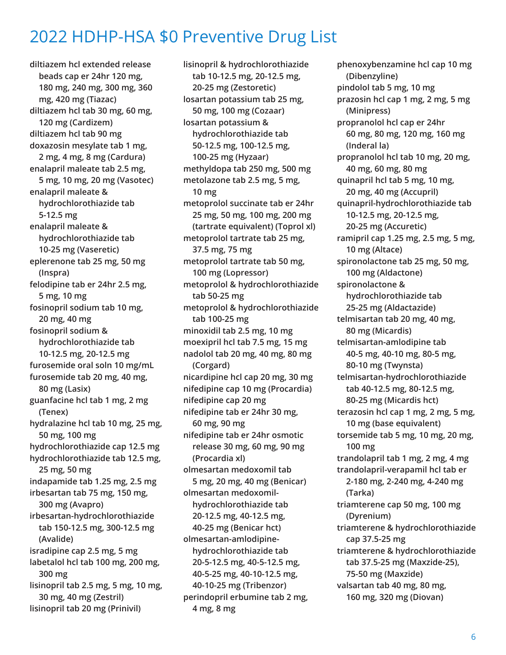**diltiazem hcl extended release beads cap er 24hr 120 mg, 180 mg, 240 mg, 300 mg, 360 mg, 420 mg (Tiazac) diltiazem hcl tab 30 mg, 60 mg, 120 mg (Cardizem) diltiazem hcl tab 90 mg doxazosin mesylate tab 1 mg, 2 mg, 4 mg, 8 mg (Cardura) enalapril maleate tab 2.5 mg, 5 mg, 10 mg, 20 mg (Vasotec) enalapril maleate & hydrochlorothiazide tab 5-12.5 mg enalapril maleate & hydrochlorothiazide tab 10-25 mg (Vaseretic) eplerenone tab 25 mg, 50 mg (Inspra) felodipine tab er 24hr 2.5 mg, 5 mg, 10 mg fosinopril sodium tab 10 mg, 20 mg, 40 mg fosinopril sodium & hydrochlorothiazide tab 10-12.5 mg, 20-12.5 mg furosemide oral soln 10 mg/mL furosemide tab 20 mg, 40 mg, 80 mg (Lasix) guanfacine hcl tab 1 mg, 2 mg (Tenex) hydralazine hcl tab 10 mg, 25 mg, 50 mg, 100 mg hydrochlorothiazide cap 12.5 mg hydrochlorothiazide tab 12.5 mg, 25 mg, 50 mg indapamide tab 1.25 mg, 2.5 mg irbesartan tab 75 mg, 150 mg, 300 mg (Avapro) irbesartan-hydrochlorothiazide tab 150-12.5 mg, 300-12.5 mg (Avalide) isradipine cap 2.5 mg, 5 mg labetalol hcl tab 100 mg, 200 mg, 300 mg lisinopril tab 2.5 mg, 5 mg, 10 mg, 30 mg, 40 mg (Zestril) lisinopril tab 20 mg (Prinivil)**

**lisinopril & hydrochlorothiazide tab 10-12.5 mg, 20-12.5 mg, 20-25 mg (Zestoretic) losartan potassium tab 25 mg, 50 mg, 100 mg (Cozaar) losartan potassium & hydrochlorothiazide tab 50-12.5 mg, 100-12.5 mg, 100-25 mg (Hyzaar) methyldopa tab 250 mg, 500 mg metolazone tab 2.5 mg, 5 mg, 10 mg metoprolol succinate tab er 24hr 25 mg, 50 mg, 100 mg, 200 mg (tartrate equivalent) (Toprol xl) metoprolol tartrate tab 25 mg, 37.5 mg, 75 mg metoprolol tartrate tab 50 mg, 100 mg (Lopressor) metoprolol & hydrochlorothiazide tab 50-25 mg metoprolol & hydrochlorothiazide tab 100-25 mg minoxidil tab 2.5 mg, 10 mg moexipril hcl tab 7.5 mg, 15 mg nadolol tab 20 mg, 40 mg, 80 mg (Corgard) nicardipine hcl cap 20 mg, 30 mg nifedipine cap 10 mg (Procardia) nifedipine cap 20 mg nifedipine tab er 24hr 30 mg, 60 mg, 90 mg nifedipine tab er 24hr osmotic release 30 mg, 60 mg, 90 mg (Procardia xl) olmesartan medoxomil tab 5 mg, 20 mg, 40 mg (Benicar) olmesartan medoxomilhydrochlorothiazide tab 20-12.5 mg, 40-12.5 mg, 40-25 mg (Benicar hct) olmesartan-amlodipinehydrochlorothiazide tab 20-5-12.5 mg, 40-5-12.5 mg, 40-5-25 mg, 40-10-12.5 mg, 40-10-25 mg (Tribenzor) perindopril erbumine tab 2 mg, 4 mg, 8 mg**

**phenoxybenzamine hcl cap 10 mg (Dibenzyline) pindolol tab 5 mg, 10 mg prazosin hcl cap 1 mg, 2 mg, 5 mg (Minipress) propranolol hcl cap er 24hr 60 mg, 80 mg, 120 mg, 160 mg (Inderal la) propranolol hcl tab 10 mg, 20 mg, 40 mg, 60 mg, 80 mg quinapril hcl tab 5 mg, 10 mg, 20 mg, 40 mg (Accupril) quinapril-hydrochlorothiazide tab 10-12.5 mg, 20-12.5 mg, 20-25 mg (Accuretic) ramipril cap 1.25 mg, 2.5 mg, 5 mg, 10 mg (Altace) spironolactone tab 25 mg, 50 mg, 100 mg (Aldactone) spironolactone & hydrochlorothiazide tab 25-25 mg (Aldactazide) telmisartan tab 20 mg, 40 mg, 80 mg (Micardis) telmisartan-amlodipine tab 40-5 mg, 40-10 mg, 80-5 mg, 80-10 mg (Twynsta) telmisartan-hydrochlorothiazide tab 40-12.5 mg, 80-12.5 mg, 80-25 mg (Micardis hct) terazosin hcl cap 1 mg, 2 mg, 5 mg, 10 mg (base equivalent) torsemide tab 5 mg, 10 mg, 20 mg, 100 mg trandolapril tab 1 mg, 2 mg, 4 mg trandolapril-verapamil hcl tab er 2-180 mg, 2-240 mg, 4-240 mg (Tarka) triamterene cap 50 mg, 100 mg (Dyrenium) triamterene & hydrochlorothiazide cap 37.5-25 mg triamterene & hydrochlorothiazide tab 37.5-25 mg (Maxzide-25), 75-50 mg (Maxzide) valsartan tab 40 mg, 80 mg, 160 mg, 320 mg (Diovan)**